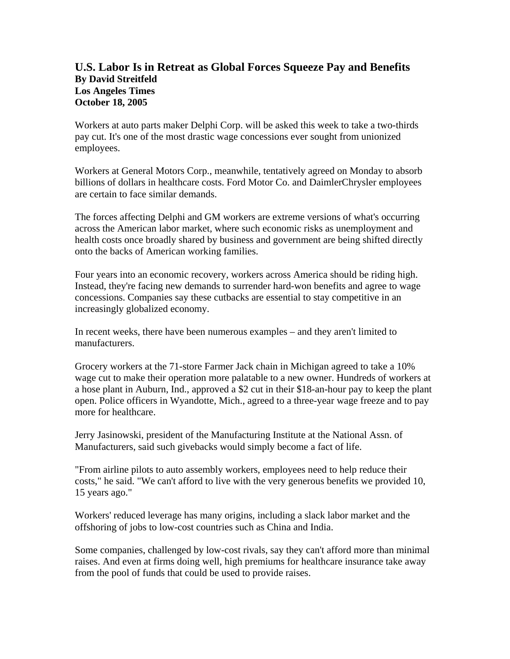## **U.S. Labor Is in Retreat as Global Forces Squeeze Pay and Benefits By David Streitfeld Los Angeles Times October 18, 2005**

Workers at auto parts maker Delphi Corp. will be asked this week to take a two-thirds pay cut. It's one of the most drastic wage concessions ever sought from unionized employees.

Workers at General Motors Corp., meanwhile, tentatively agreed on Monday to absorb billions of dollars in healthcare costs. Ford Motor Co. and DaimlerChrysler employees are certain to face similar demands.

The forces affecting Delphi and GM workers are extreme versions of what's occurring across the American labor market, where such economic risks as unemployment and health costs once broadly shared by business and government are being shifted directly onto the backs of American working families.

Four years into an economic recovery, workers across America should be riding high. Instead, they're facing new demands to surrender hard-won benefits and agree to wage concessions. Companies say these cutbacks are essential to stay competitive in an increasingly globalized economy.

In recent weeks, there have been numerous examples – and they aren't limited to manufacturers.

Grocery workers at the 71-store Farmer Jack chain in Michigan agreed to take a 10% wage cut to make their operation more palatable to a new owner. Hundreds of workers at a hose plant in Auburn, Ind., approved a \$2 cut in their \$18-an-hour pay to keep the plant open. Police officers in Wyandotte, Mich., agreed to a three-year wage freeze and to pay more for healthcare.

Jerry Jasinowski, president of the Manufacturing Institute at the National Assn. of Manufacturers, said such givebacks would simply become a fact of life.

"From airline pilots to auto assembly workers, employees need to help reduce their costs," he said. "We can't afford to live with the very generous benefits we provided 10, 15 years ago."

Workers' reduced leverage has many origins, including a slack labor market and the offshoring of jobs to low-cost countries such as China and India.

Some companies, challenged by low-cost rivals, say they can't afford more than minimal raises. And even at firms doing well, high premiums for healthcare insurance take away from the pool of funds that could be used to provide raises.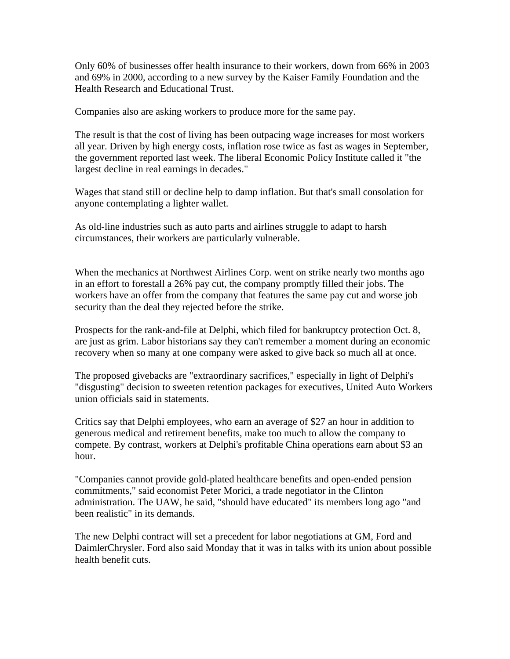Only 60% of businesses offer health insurance to their workers, down from 66% in 2003 and 69% in 2000, according to a new survey by the Kaiser Family Foundation and the Health Research and Educational Trust.

Companies also are asking workers to produce more for the same pay.

The result is that the cost of living has been outpacing wage increases for most workers all year. Driven by high energy costs, inflation rose twice as fast as wages in September, the government reported last week. The liberal Economic Policy Institute called it "the largest decline in real earnings in decades."

Wages that stand still or decline help to damp inflation. But that's small consolation for anyone contemplating a lighter wallet.

As old-line industries such as auto parts and airlines struggle to adapt to harsh circumstances, their workers are particularly vulnerable.

When the mechanics at Northwest Airlines Corp. went on strike nearly two months ago in an effort to forestall a 26% pay cut, the company promptly filled their jobs. The workers have an offer from the company that features the same pay cut and worse job security than the deal they rejected before the strike.

Prospects for the rank-and-file at Delphi, which filed for bankruptcy protection Oct. 8, are just as grim. Labor historians say they can't remember a moment during an economic recovery when so many at one company were asked to give back so much all at once.

The proposed givebacks are "extraordinary sacrifices," especially in light of Delphi's "disgusting" decision to sweeten retention packages for executives, United Auto Workers union officials said in statements.

Critics say that Delphi employees, who earn an average of \$27 an hour in addition to generous medical and retirement benefits, make too much to allow the company to compete. By contrast, workers at Delphi's profitable China operations earn about \$3 an hour.

"Companies cannot provide gold-plated healthcare benefits and open-ended pension commitments," said economist Peter Morici, a trade negotiator in the Clinton administration. The UAW, he said, "should have educated" its members long ago "and been realistic" in its demands.

The new Delphi contract will set a precedent for labor negotiations at GM, Ford and DaimlerChrysler. Ford also said Monday that it was in talks with its union about possible health benefit cuts.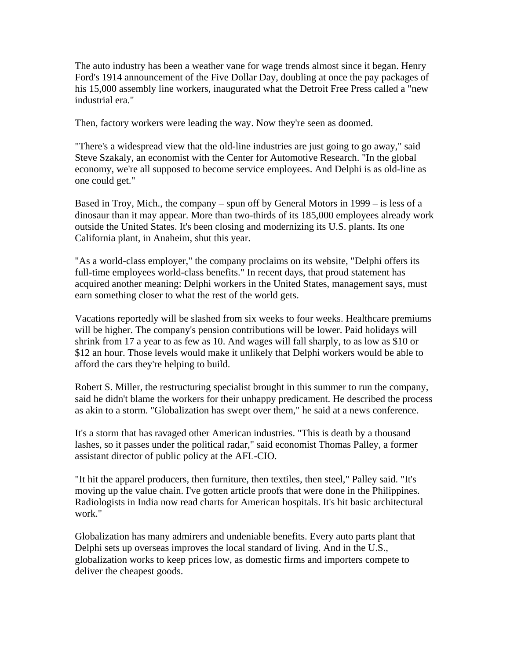The auto industry has been a weather vane for wage trends almost since it began. Henry Ford's 1914 announcement of the Five Dollar Day, doubling at once the pay packages of his 15,000 assembly line workers, inaugurated what the Detroit Free Press called a "new industrial era."

Then, factory workers were leading the way. Now they're seen as doomed.

"There's a widespread view that the old-line industries are just going to go away," said Steve Szakaly, an economist with the Center for Automotive Research. "In the global economy, we're all supposed to become service employees. And Delphi is as old-line as one could get."

Based in Troy, Mich., the company – spun off by General Motors in 1999 – is less of a dinosaur than it may appear. More than two-thirds of its 185,000 employees already work outside the United States. It's been closing and modernizing its U.S. plants. Its one California plant, in Anaheim, shut this year.

"As a world-class employer," the company proclaims on its website, "Delphi offers its full-time employees world-class benefits." In recent days, that proud statement has acquired another meaning: Delphi workers in the United States, management says, must earn something closer to what the rest of the world gets.

Vacations reportedly will be slashed from six weeks to four weeks. Healthcare premiums will be higher. The company's pension contributions will be lower. Paid holidays will shrink from 17 a year to as few as 10. And wages will fall sharply, to as low as \$10 or \$12 an hour. Those levels would make it unlikely that Delphi workers would be able to afford the cars they're helping to build.

Robert S. Miller, the restructuring specialist brought in this summer to run the company, said he didn't blame the workers for their unhappy predicament. He described the process as akin to a storm. "Globalization has swept over them," he said at a news conference.

It's a storm that has ravaged other American industries. "This is death by a thousand lashes, so it passes under the political radar," said economist Thomas Palley, a former assistant director of public policy at the AFL-CIO.

"It hit the apparel producers, then furniture, then textiles, then steel," Palley said. "It's moving up the value chain. I've gotten article proofs that were done in the Philippines. Radiologists in India now read charts for American hospitals. It's hit basic architectural work."

Globalization has many admirers and undeniable benefits. Every auto parts plant that Delphi sets up overseas improves the local standard of living. And in the U.S., globalization works to keep prices low, as domestic firms and importers compete to deliver the cheapest goods.